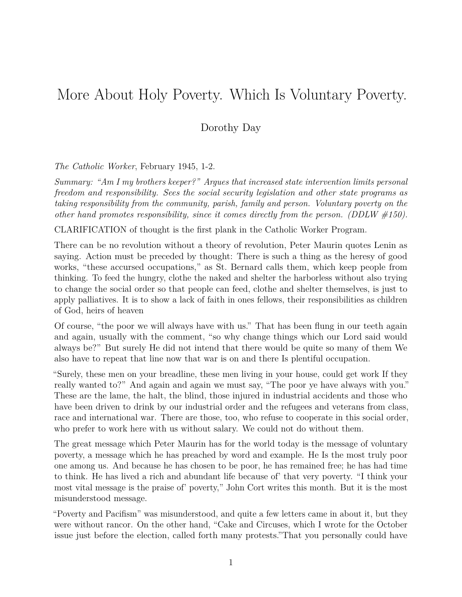## More About Holy Poverty. Which Is Voluntary Poverty.

## Dorothy Day

*The Catholic Worker*, February 1945, 1-2.

*Summary: "Am I my brothers keeper?" Argues that increased state intervention limits personal freedom and responsibility. Sees the social security legislation and other state programs as taking responsibility from the community, parish, family and person. Voluntary poverty on the other hand promotes responsibility, since it comes directly from the person. (DDLW #150).*

CLARIFICATION of thought is the first plank in the Catholic Worker Program.

There can be no revolution without a theory of revolution, Peter Maurin quotes Lenin as saying. Action must be preceded by thought: There is such a thing as the heresy of good works, "these accursed occupations," as St. Bernard calls them, which keep people from thinking. To feed the hungry, clothe the naked and shelter the harborless without also trying to change the social order so that people can feed, clothe and shelter themselves, is just to apply palliatives. It is to show a lack of faith in ones fellows, their responsibilities as children of God, heirs of heaven

Of course, "the poor we will always have with us." That has been flung in our teeth again and again, usually with the comment, "so why change things which our Lord said would always be?" But surely He did not intend that there would be quite so many of them We also have to repeat that line now that war is on and there Is plentiful occupation.

"Surely, these men on your breadline, these men living in your house, could get work If they really wanted to?" And again and again we must say, "The poor ye have always with you." These are the lame, the halt, the blind, those injured in industrial accidents and those who have been driven to drink by our industrial order and the refugees and veterans from class, race and international war. There are those, too, who refuse to cooperate in this social order, who prefer to work here with us without salary. We could not do without them.

The great message which Peter Maurin has for the world today is the message of voluntary poverty, a message which he has preached by word and example. He Is the most truly poor one among us. And because he has chosen to be poor, he has remained free; he has had time to think. He has lived a rich and abundant life because of' that very poverty. "I think your most vital message is the praise of' poverty," John Cort writes this month. But it is the most misunderstood message.

"Poverty and Pacifism" was misunderstood, and quite a few letters came in about it, but they were without rancor. On the other hand, "Cake and Circuses, which I wrote for the October issue just before the election, called forth many protests."That you personally could have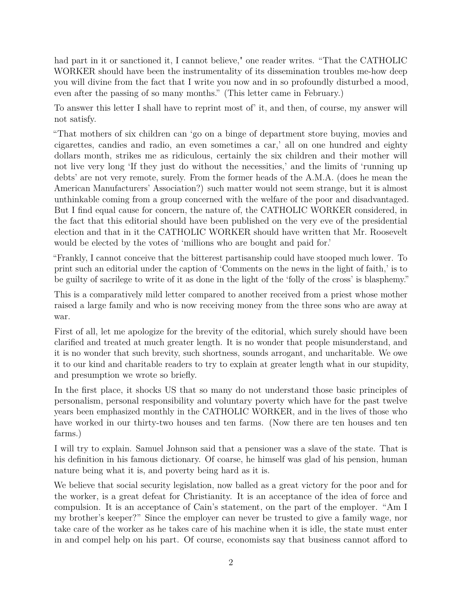had part in it or sanctioned it, I cannot believe," one reader writes. "That the CATHOLIC WORKER should have been the instrumentality of its dissemination troubles me-how deep you will divine from the fact that I write you now and in so profoundly disturbed a mood, even after the passing of so many months." (This letter came in February.)

To answer this letter I shall have to reprint most of' it, and then, of course, my answer will not satisfy.

"That mothers of six children can 'go on a binge of department store buying, movies and cigarettes, candies and radio, an even sometimes a car,' all on one hundred and eighty dollars month, strikes me as ridiculous, certainly the six children and their mother will not live very long 'If they just do without the necessities,' and the limits of 'running up debts' are not very remote, surely. From the former heads of the A.M.A. (does he mean the American Manufacturers' Association?) such matter would not seem strange, but it is almost unthinkable coming from a group concerned with the welfare of the poor and disadvantaged. But I find equal cause for concern, the nature of, the CATHOLIC WORKER considered, in the fact that this editorial should have been published on the very eve of the presidential election and that in it the CATHOLIC WORKER should have written that Mr. Roosevelt would be elected by the votes of 'millions who are bought and paid for.'

"Frankly, I cannot conceive that the bitterest partisanship could have stooped much lower. To print such an editorial under the caption of 'Comments on the news in the light of faith,' is to be guilty of sacrilege to write of it as done in the light of the 'folly of the cross' is blasphemy."

This is a comparatively mild letter compared to another received from a priest whose mother raised a large family and who is now receiving money from the three sons who are away at war.

First of all, let me apologize for the brevity of the editorial, which surely should have been clarified and treated at much greater length. It is no wonder that people misunderstand, and it is no wonder that such brevity, such shortness, sounds arrogant, and uncharitable. We owe it to our kind and charitable readers to try to explain at greater length what in our stupidity, and presumption we wrote so briefly.

In the first place, it shocks US that so many do not understand those basic principles of personalism, personal responsibility and voluntary poverty which have for the past twelve years been emphasized monthly in the CATHOLIC WORKER, and in the lives of those who have worked in our thirty-two houses and ten farms. (Now there are ten houses and ten farms.)

I will try to explain. Samuel Johnson said that a pensioner was a slave of the state. That is his definition in his famous dictionary. Of coarse, he himself was glad of his pension, human nature being what it is, and poverty being hard as it is.

We believe that social security legislation, now balled as a great victory for the poor and for the worker, is a great defeat for Christianity. It is an acceptance of the idea of force and compulsion. It is an acceptance of Cain's statement, on the part of the employer. "Am I my brother's keeper?" Since the employer can never be trusted to give a family wage, nor take care of the worker as he takes care of his machine when it is idle, the state must enter in and compel help on his part. Of course, economists say that business cannot afford to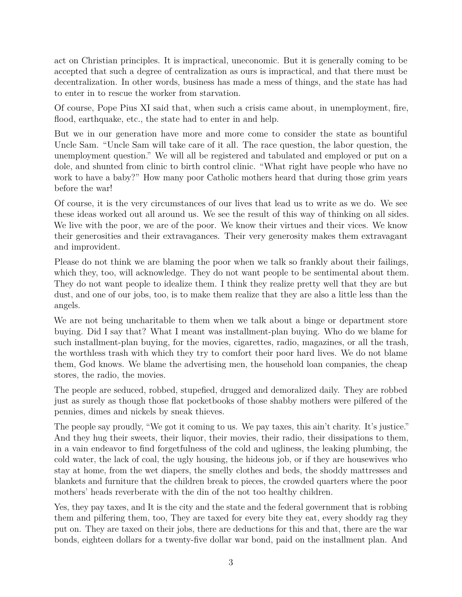act on Christian principles. It is impractical, uneconomic. But it is generally coming to be accepted that such a degree of centralization as ours is impractical, and that there must be decentralization. In other words, business has made a mess of things, and the state has had to enter in to rescue the worker from starvation.

Of course, Pope Pius XI said that, when such a crisis came about, in unemployment, fire, flood, earthquake, etc., the state had to enter in and help.

But we in our generation have more and more come to consider the state as bountiful Uncle Sam. "Uncle Sam will take care of it all. The race question, the labor question, the unemployment question." We will all be registered and tabulated and employed or put on a dole, and shunted from clinic to birth control clinic. "What right have people who have no work to have a baby?" How many poor Catholic mothers heard that during those grim years before the war!

Of course, it is the very circumstances of our lives that lead us to write as we do. We see these ideas worked out all around us. We see the result of this way of thinking on all sides. We live with the poor, we are of the poor. We know their virtues and their vices. We know their generosities and their extravagances. Their very generosity makes them extravagant and improvident.

Please do not think we are blaming the poor when we talk so frankly about their failings, which they, too, will acknowledge. They do not want people to be sentimental about them. They do not want people to idealize them. I think they realize pretty well that they are but dust, and one of our jobs, too, is to make them realize that they are also a little less than the angels.

We are not being uncharitable to them when we talk about a binge or department store buying. Did I say that? What I meant was installment-plan buying. Who do we blame for such installment-plan buying, for the movies, cigarettes, radio, magazines, or all the trash, the worthless trash with which they try to comfort their poor hard lives. We do not blame them, God knows. We blame the advertising men, the household loan companies, the cheap stores, the radio, the movies.

The people are seduced, robbed, stupefied, drugged and demoralized daily. They are robbed just as surely as though those flat pocketbooks of those shabby mothers were pilfered of the pennies, dimes and nickels by sneak thieves.

The people say proudly, "We got it coming to us. We pay taxes, this ain't charity. It's justice." And they hug their sweets, their liquor, their movies, their radio, their dissipations to them, in a vain endeavor to find forgetfulness of the cold and ugliness, the leaking plumbing, the cold water, the lack of coal, the ugly housing, the hideous job, or if they are housewives who stay at home, from the wet diapers, the smelly clothes and beds, the shoddy mattresses and blankets and furniture that the children break to pieces, the crowded quarters where the poor mothers' heads reverberate with the din of the not too healthy children.

Yes, they pay taxes, and It is the city and the state and the federal government that is robbing them and pilfering them, too, They are taxed for every bite they eat, every shoddy rag they put on. They are taxed on their jobs, there are deductions for this and that, there are the war bonds, eighteen dollars for a twenty-five dollar war bond, paid on the installment plan. And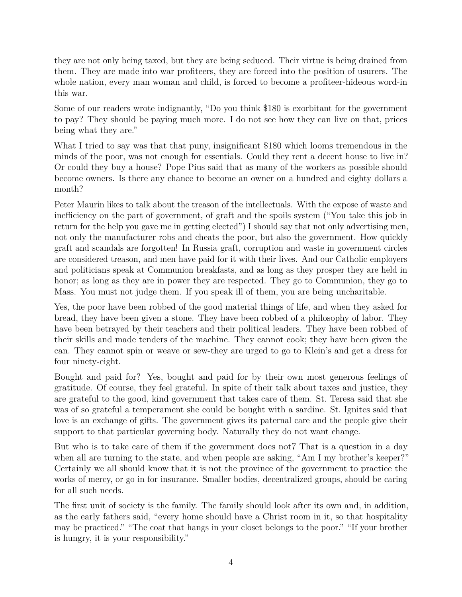they are not only being taxed, but they are being seduced. Their virtue is being drained from them. They are made into war profiteers, they are forced into the position of usurers. The whole nation, every man woman and child, is forced to become a profiteer-hideous word-in this war.

Some of our readers wrote indignantly, "Do you think \$180 is exorbitant for the government to pay? They should be paying much more. I do not see how they can live on that, prices being what they are."

What I tried to say was that that puny, insignificant \$180 which looms tremendous in the minds of the poor, was not enough for essentials. Could they rent a decent house to live in? Or could they buy a house? Pope Pius said that as many of the workers as possible should become owners. Is there any chance to become an owner on a hundred and eighty dollars a month?

Peter Maurin likes to talk about the treason of the intellectuals. With the expose of waste and inefficiency on the part of government, of graft and the spoils system ("You take this job in return for the help you gave me in getting elected") I should say that not only advertising men, not only the manufacturer robs and cheats the poor, but also the government. How quickly graft and scandals are forgotten! In Russia graft, corruption and waste in government circles are considered treason, and men have paid for it with their lives. And our Catholic employers and politicians speak at Communion breakfasts, and as long as they prosper they are held in honor; as long as they are in power they are respected. They go to Communion, they go to Mass. You must not judge them. If you speak ill of them, you are being uncharitable.

Yes, the poor have been robbed of the good material things of life, and when they asked for bread, they have been given a stone. They have been robbed of a philosophy of labor. They have been betrayed by their teachers and their political leaders. They have been robbed of their skills and made tenders of the machine. They cannot cook; they have been given the can. They cannot spin or weave or sew-they are urged to go to Klein's and get a dress for four ninety-eight.

Bought and paid for? Yes, bought and paid for by their own most generous feelings of gratitude. Of course, they feel grateful. In spite of their talk about taxes and justice, they are grateful to the good, kind government that takes care of them. St. Teresa said that she was of so grateful a temperament she could be bought with a sardine. St. Ignites said that love is an exchange of gifts. The government gives its paternal care and the people give their support to that particular governing body. Naturally they do not want change.

But who is to take care of them if the government does not7 That is a question in a day when all are turning to the state, and when people are asking, "Am I my brother's keeper?" Certainly we all should know that it is not the province of the government to practice the works of mercy, or go in for insurance. Smaller bodies, decentralized groups, should be caring for all such needs.

The first unit of society is the family. The family should look after its own and, in addition, as the early fathers said, "every home should have a Christ room in it, so that hospitality may be practiced." "The coat that hangs in your closet belongs to the poor." "If your brother is hungry, it is your responsibility."